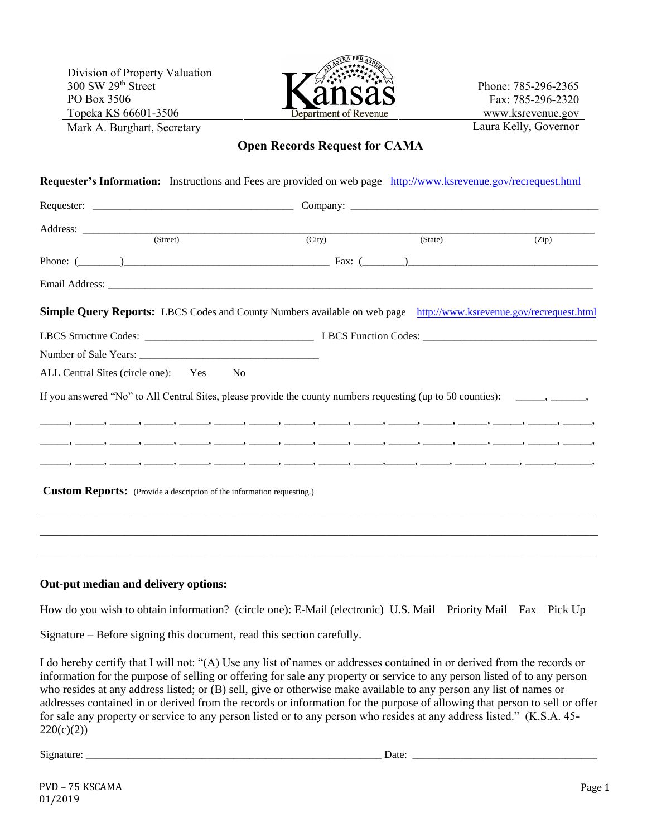Division of Property Valuation 300 SW 29th Street PO Box 3506 Topeka KS 66601-3506 Mark A. Burghart, Secretary



Phone: 785-296-2365 Fax: 785-296-2320 www.ksrevenue.gov Laura Kelly, Governor

# **Open Records Request for CAMA**

| (Street)                                                                                                                     | $\overline{(City)}$ |  | (State) |  | (Zip) |  |  |  |  |  |  |  |
|------------------------------------------------------------------------------------------------------------------------------|---------------------|--|---------|--|-------|--|--|--|--|--|--|--|
|                                                                                                                              | Phone: $(\_\_)$     |  |         |  |       |  |  |  |  |  |  |  |
|                                                                                                                              |                     |  |         |  |       |  |  |  |  |  |  |  |
| <b>Simple Query Reports:</b> LBCS Codes and County Numbers available on web page http://www.ksrevenue.gov/recrequest.html    |                     |  |         |  |       |  |  |  |  |  |  |  |
|                                                                                                                              |                     |  |         |  |       |  |  |  |  |  |  |  |
|                                                                                                                              |                     |  |         |  |       |  |  |  |  |  |  |  |
| ALL Central Sites (circle one): Yes<br>No                                                                                    |                     |  |         |  |       |  |  |  |  |  |  |  |
| If you answered "No" to All Central Sites, please provide the county numbers requesting (up to 50 counties): ______, ______, |                     |  |         |  |       |  |  |  |  |  |  |  |
|                                                                                                                              |                     |  |         |  |       |  |  |  |  |  |  |  |
|                                                                                                                              |                     |  |         |  |       |  |  |  |  |  |  |  |
|                                                                                                                              |                     |  |         |  |       |  |  |  |  |  |  |  |
| <b>Custom Reports:</b> (Provide a description of the information requesting.)                                                |                     |  |         |  |       |  |  |  |  |  |  |  |

#### **Out-put median and delivery options:**

How do you wish to obtain information? (circle one): E-Mail (electronic) U.S. Mail Priority Mail Fax Pick Up

Signature – Before signing this document, read this section carefully.

I do hereby certify that I will not: "(A) Use any list of names or addresses contained in or derived from the records or information for the purpose of selling or offering for sale any property or service to any person listed of to any person who resides at any address listed; or (B) sell, give or otherwise make available to any person any list of names or addresses contained in or derived from the records or information for the purpose of allowing that person to sell or offer for sale any property or service to any person listed or to any person who resides at any address listed." (K.S.A. 45-  $220(c)(2)$ 

Signature: \_\_\_\_\_\_\_\_\_\_\_\_\_\_\_\_\_\_\_\_\_\_\_\_\_\_\_\_\_\_\_\_\_\_\_\_\_\_\_\_\_\_\_\_\_\_\_\_\_\_\_\_\_\_\_\_ Date: \_\_\_\_\_\_\_\_\_\_\_\_\_\_\_\_\_\_\_\_\_\_\_\_\_\_\_\_\_\_\_\_\_\_\_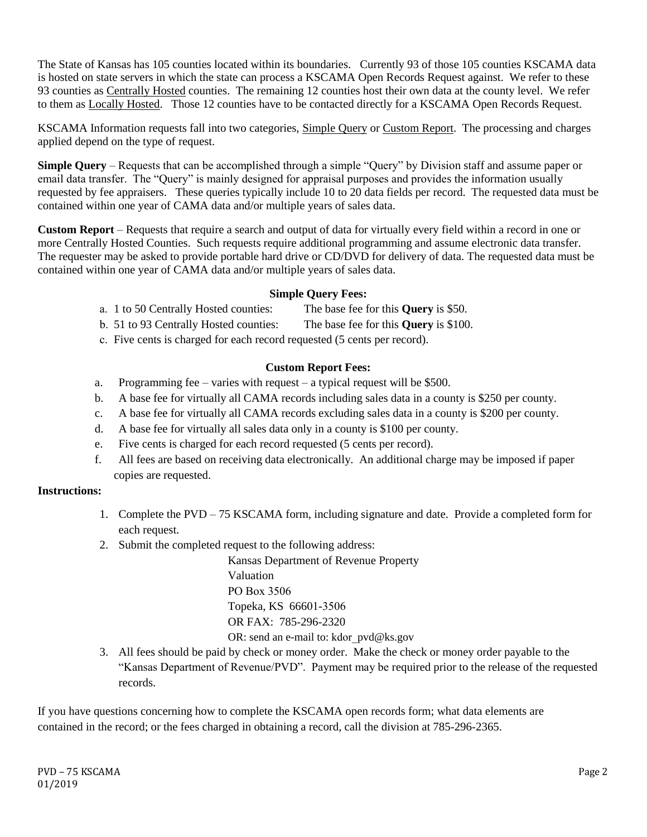The State of Kansas has 105 counties located within its boundaries. Currently 93 of those 105 counties KSCAMA data is hosted on state servers in which the state can process a KSCAMA Open Records Request against. We refer to these 93 counties as Centrally Hosted counties. The remaining 12 counties host their own data at the county level. We refer to them as Locally Hosted. Those 12 counties have to be contacted directly for a KSCAMA Open Records Request.

KSCAMA Information requests fall into two categories, Simple Query or Custom Report. The processing and charges applied depend on the type of request.

**Simple Query** – Requests that can be accomplished through a simple "Query" by Division staff and assume paper or email data transfer. The "Query" is mainly designed for appraisal purposes and provides the information usually requested by fee appraisers. These queries typically include 10 to 20 data fields per record. The requested data must be contained within one year of CAMA data and/or multiple years of sales data.

**Custom Report** – Requests that require a search and output of data for virtually every field within a record in one or more Centrally Hosted Counties. Such requests require additional programming and assume electronic data transfer. The requester may be asked to provide portable hard drive or CD/DVD for delivery of data. The requested data must be contained within one year of CAMA data and/or multiple years of sales data.

## **Simple Query Fees:**

- a. 1 to 50 Centrally Hosted counties: The base fee for this **Query** is \$50.
- b. 51 to 93 Centrally Hosted counties: The base fee for this **Query** is \$100.
- c. Five cents is charged for each record requested (5 cents per record).

## **Custom Report Fees:**

- a. Programming fee varies with request a typical request will be \$500.
- b. A base fee for virtually all CAMA records including sales data in a county is \$250 per county.
- c. A base fee for virtually all CAMA records excluding sales data in a county is \$200 per county.
- d. A base fee for virtually all sales data only in a county is \$100 per county.
- e. Five cents is charged for each record requested (5 cents per record).
- f. All fees are based on receiving data electronically. An additional charge may be imposed if paper copies are requested.

#### **Instructions:**

- 1. Complete the PVD 75 KSCAMA form, including signature and date. Provide a completed form for each request.
- 2. Submit the completed request to the following address:

Kansas Department of Revenue Property Valuation PO Box 3506 Topeka, KS 66601-3506 OR FAX: 785-296-2320

OR: send an e-mail to: kdor pvd@ks.gov

3. All fees should be paid by check or money order. Make the check or money order payable to the "Kansas Department of Revenue/PVD". Payment may be required prior to the release of the requested records.

If you have questions concerning how to complete the KSCAMA open records form; what data elements are contained in the record; or the fees charged in obtaining a record, call the division at 785-296-2365.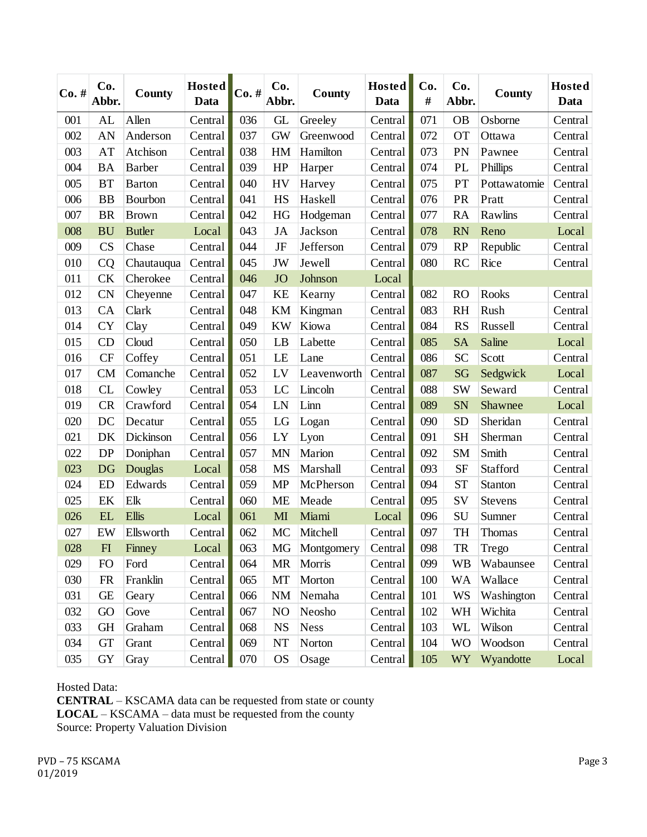| $Co. \#$ | Co.<br>Abbr.               | County         | <b>Hosted</b><br>Data | $Co.$ # | Co.<br>Abbr.   | County      | <b>Hosted</b><br>Data | Co.<br># | Co.<br>Abbr.   | County       | <b>Hosted</b><br>Data |
|----------|----------------------------|----------------|-----------------------|---------|----------------|-------------|-----------------------|----------|----------------|--------------|-----------------------|
| 001      | AL                         | Allen          | Central               | 036     | GL             | Greeley     | Central               | 071      | <b>OB</b>      | Osborne      | Central               |
| 002      | AN                         | Anderson       | Central               | 037     | <b>GW</b>      | Greenwood   | Central               | 072      | <b>OT</b>      | Ottawa       | Central               |
| 003      | AT                         | Atchison       | Central               | 038     | HM             | Hamilton    | Central               | 073      | PN             | Pawnee       | Central               |
| 004      | <b>BA</b>                  | Barber         | Central               | 039     | HP             | Harper      | Central               | 074      | PL             | Phillips     | Central               |
| 005      | <b>BT</b>                  | <b>Barton</b>  | Central               | 040     | <b>HV</b>      | Harvey      | Central               | 075      | PT             | Pottawatomie | Central               |
| 006      | <b>BB</b>                  | <b>Bourbon</b> | Central               | 041     | <b>HS</b>      | Haskell     | Central               | 076      | PR             | Pratt        | Central               |
| 007      | <b>BR</b>                  | <b>Brown</b>   | Central               | 042     | HG             | Hodgeman    | Central               | 077      | <b>RA</b>      | Rawlins      | Central               |
| 008      | <b>BU</b>                  | <b>Butler</b>  | Local                 | 043     | <b>JA</b>      | Jackson     | Central               | 078      | <b>RN</b>      | Reno         | Local                 |
| 009      | <b>CS</b>                  | Chase          | Central               | 044     | JF             | Jefferson   | Central               | 079      | RP             | Republic     | Central               |
| 010      | CQ                         | Chautauqua     | Central               | 045     | JW             | Jewell      | Central               | 080      | RC             | Rice         | Central               |
| 011      | CK                         | Cherokee       | Central               | 046     | <b>JO</b>      | Johnson     | Local                 |          |                |              |                       |
| 012      | <b>CN</b>                  | Cheyenne       | Central               | 047     | <b>KE</b>      | Kearny      | Central               | 082      | <b>RO</b>      | Rooks        | Central               |
| 013      | CA                         | Clark          | Central               | 048     | <b>KM</b>      | Kingman     | Central               | 083      | <b>RH</b>      | Rush         | Central               |
| 014      | <b>CY</b>                  | Clay           | Central               | 049     | <b>KW</b>      | Kiowa       | Central               | 084      | <b>RS</b>      | Russell      | Central               |
| 015      | CD                         | Cloud          | Central               | 050     | LB             | Labette     | Central               | 085      | <b>SA</b>      | Saline       | Local                 |
| 016      | <b>CF</b>                  | Coffey         | Central               | 051     | LE             | Lane        | Central               | 086      | <b>SC</b>      | Scott        | Central               |
| 017      | CM                         | Comanche       | Central               | 052     | LV             | Leavenworth | Central               | 087      | SG             | Sedgwick     | Local                 |
| 018      | CL                         | Cowley         | Central               | 053     | LC             | Lincoln     | Central               | 088      | <b>SW</b>      | Seward       | Central               |
| 019      | CR                         | Crawford       | Central               | 054     | LN             | Linn        | Central               | 089      | <b>SN</b>      | Shawnee      | Local                 |
| 020      | DC                         | Decatur        | Central               | 055     | LG             | Logan       | Central               | 090      | <b>SD</b>      | Sheridan     | Central               |
| 021      | DK                         | Dickinson      | Central               | 056     | LY             | Lyon        | Central               | 091      | <b>SH</b>      | Sherman      | Central               |
| 022      | <b>DP</b>                  | Doniphan       | Central               | 057     | <b>MN</b>      | Marion      | Central               | 092      | <b>SM</b>      | Smith        | Central               |
| 023      | <b>DG</b>                  | Douglas        | Local                 | 058     | <b>MS</b>      | Marshall    | Central               | 093      | <b>SF</b>      | Stafford     | Central               |
| 024      | <b>ED</b>                  | Edwards        | Central               | 059     | <b>MP</b>      | McPherson   | Central               | 094      | <b>ST</b>      | Stanton      | Central               |
| 025      | EK                         | Elk            | Central               | 060     | <b>ME</b>      | Meade       | Central               | 095      | SV             | Stevens      | Central               |
| 026      | EL                         | <b>Ellis</b>   | Local                 | 061     | MI             | Miami       | Local                 | 096      | SU             | Sumner       | Central               |
| 027      | EW                         | Ellsworth      | Central               | 062     | MC             | Mitchell    | Central               | 097      | <b>TH</b>      | Thomas       | Central               |
| 028      | $\boldsymbol{\mathrm{FI}}$ | Finney         | Local                 | 063     | MG             | Montgomery  | Central               | 098      | <b>TR</b>      | Trego        | Central               |
| 029      | <b>FO</b>                  | Ford           | Central               | 064     | <b>MR</b>      | Morris      | Central               | 099      | <b>WB</b>      | Wabaunsee    | Central               |
| 030      | <b>FR</b>                  | Franklin       | Central               | 065     | MT             | Morton      | Central               | 100      | <b>WA</b>      | Wallace      | Central               |
| 031      | <b>GE</b>                  | Geary          | Central               | 066     | <b>NM</b>      | Nemaha      | Central               | 101      | WS             | Washington   | Central               |
| 032      | GO                         | Gove           | Central               | 067     | N <sub>O</sub> | Neosho      | Central               | 102      | WH             | Wichita      | Central               |
| 033      | <b>GH</b>                  | Graham         | Central               | 068     | <b>NS</b>      | <b>Ness</b> | Central               | 103      | WL             | Wilson       | Central               |
| 034      | <b>GT</b>                  | Grant          | Central               | 069     | NT             | Norton      | Central               | 104      | <b>WO</b>      | Woodson      | Central               |
| 035      | GY                         | Gray           | Central               | 070     | <b>OS</b>      | Osage       | Central               | 105      | WY <sub></sub> | Wyandotte    | Local                 |

Hosted Data: **CENTRAL** – KSCAMA data can be requested from state or county **LOCAL** – KSCAMA – data must be requested from the county Source: Property Valuation Division